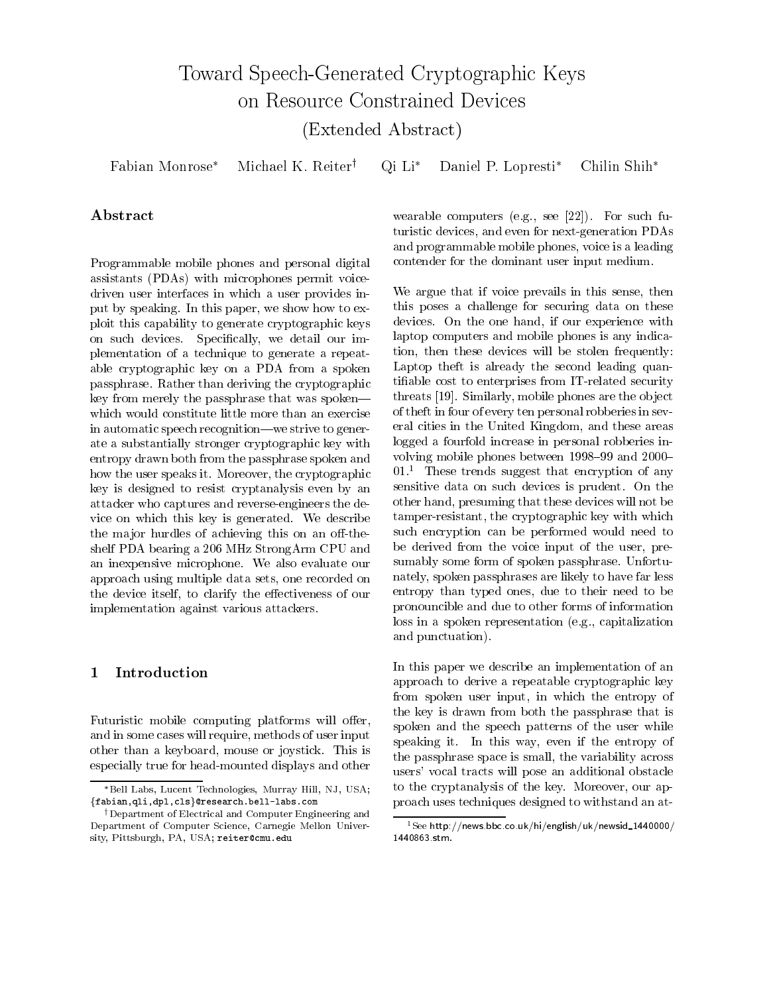# Toward Speech-Generated Cryptographic Keys on Resource Constrained Devices (Extended Abstract)

 $\mathrm{Qi}\,$   $\mathrm{Li}^*$ Fabian Monrose\* Michael K. Reiter<sup>†</sup> Daniel P. Lopresti\* Chilin Shih\*

# Abstract

Programmable mobile phones and personal digital assistants (PDAs) with microphones permit voicedriven user interfaces in which a user provides input by speaking. In this paper, we show how to exploit this capability to generate cryptographic keys on such devices. Specifically, we detail our implementation of a technique to generate a repeatable cryptographic key on a PDA from a spoken passphrase. Rather than deriving the cryptographic key from merely the passphrase that was spokenwhich would constitute little more than an exercise in automatic speech recognition—we strive to generate a substantially stronger cryptographic key with entropy drawn both from the passphrase spoken and how the user speaks it. Moreover, the cryptographic key is designed to resist cryptanalysis even by an attacker who captures and reverse-engineers the device on which this key is generated. We describe the major hurdles of achieving this on an off-theshelf PDA bearing a 206 MHz StrongArm CPU and an inexpensive microphone. We also evaluate our approach using multiple data sets, one recorded on the device itself, to clarify the effectiveness of our implementation against various attackers.

## Introduction  $\mathbf 1$

Futuristic mobile computing platforms will offer, and in some cases will require, methods of user input other than a keyboard, mouse or joystick. This is especially true for head-mounted displays and other

wearable computers (e.g., see [22]). For such futuristic devices, and even for next-generation PDAs and programmable mobile phones, voice is a leading contender for the dominant user input medium.

We argue that if voice prevails in this sense, then this poses a challenge for securing data on these devices. On the one hand, if our experience with laptop computers and mobile phones is any indication, then these devices will be stolen frequently: Laptop theft is already the second leading quantifiable cost to enterprises from IT-related security threats [19]. Similarly, mobile phones are the object of theft in four of every ten personal robberies in several cities in the United Kingdom, and these areas logged a fourfold increase in personal robberies involving mobile phones between 1998–99 and 2000–  $01<sup>1</sup>$  These trends suggest that encryption of any sensitive data on such devices is prudent. On the other hand, presuming that these devices will not be tamper-resistant, the cryptographic key with which such encryption can be performed would need to be derived from the voice input of the user, presumably some form of spoken passphrase. Unfortunately, spoken passphrases are likely to have far less entropy than typed ones, due to their need to be pronouncible and due to other forms of information loss in a spoken representation (e.g., capitalization and punctuation).

In this paper we describe an implementation of an approach to derive a repeatable cryptographic key from spoken user input, in which the entropy of the key is drawn from both the passphrase that is spoken and the speech patterns of the user while speaking it. In this way, even if the entropy of the passphrase space is small, the variability across users' vocal tracts will pose an additional obstacle to the cryptanalysis of the key. Moreover, our approach uses techniques designed to withstand an at-

<sup>\*</sup>Bell Labs, Lucent Technologies, Murray Hill, NJ, USA; {fabian, qli, dpl, cls}@research.bell-labs.com

<sup>&</sup>lt;sup>†</sup>Department of Electrical and Computer Engineering and Department of Computer Science, Carnegie Mellon University, Pittsburgh, PA, USA; reiter@cmu.edu

 $1$ See http://news.bbc.co.uk/hi/english/uk/newsid\_1440000/ 1440863.stm.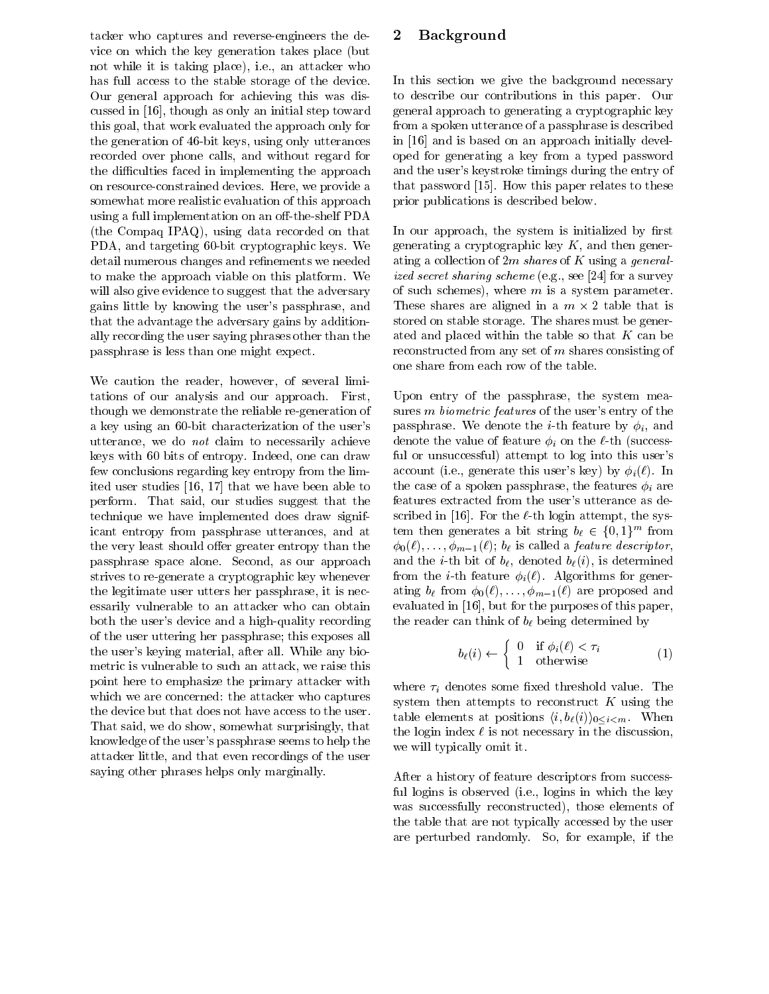tacker who captures and reverse-engineers the device on which the key generation takes place (but not while it is taking place), i.e., an attacker who has full access to the stable storage of the device. Our general approach for achieving this was discussed in [16], though as only an initial step toward this goal, that work evaluated the approach only for the generation of 46-bit keys, using only utterances recorded over phone calls, and without regard for the difficulties faced in implementing the approach on resource-constrained devices. Here, we provide a somewhat more realistic evaluation of this approach using a full implementation on an off-the-shelf PDA (the Compaq IPAQ), using data recorded on that PDA, and targeting 60-bit cryptographic keys. We detail numerous changes and refinements we needed to make the approach viable on this platform. We will also give evidence to suggest that the adversary gains little by knowing the user's passphrase, and that the advantage the adversary gains by additionally recording the user saying phrases other than the passphrase is less than one might expect.

We caution the reader, however, of several limitations of our analysis and our approach. First, though we demonstrate the reliable re-generation of a key using an 60-bit characterization of the user's utterance, we do not claim to necessarily achieve keys with 60 bits of entropy. Indeed, one can draw few conclusions regarding key entropy from the limited user studies [16, 17] that we have been able to perform. That said, our studies suggest that the technique we have implemented does draw significant entropy from passphrase utterances, and at the very least should offer greater entropy than the passphrase space alone. Second, as our approach strives to re-generate a cryptographic key whenever the legitimate user utters her passphrase, it is necessarily vulnerable to an attacker who can obtain both the user's device and a high-quality recording of the user uttering her passphrase; this exposes all the user's keying material, after all. While any biometric is vulnerable to such an attack, we raise this point here to emphasize the primary attacker with which we are concerned: the attacker who captures the device but that does not have access to the user. That said, we do show, somewhat surprisingly, that knowledge of the user's passphrase seems to help the attacker little, and that even recordings of the user saying other phrases helps only marginally.

# **Background**  $\bf{2}$

In this section we give the background necessary to describe our contributions in this paper. Our general approach to generating a cryptographic key from a spoken utterance of a passphrase is described in [16] and is based on an approach initially developed for generating a key from a typed password and the user's keystroke timings during the entry of that password [15]. How this paper relates to these prior publications is described below.

In our approach, the system is initialized by first generating a cryptographic key  $K$ , and then generating a collection of 2m shares of K using a generalized secret sharing scheme (e.g., see [24] for a survey of such schemes), where  $m$  is a system parameter. These shares are aligned in a  $m \times 2$  table that is stored on stable storage. The shares must be generated and placed within the table so that  $K$  can be reconstructed from any set of  $m$  shares consisting of one share from each row of the table.

Upon entry of the passphrase, the system measures *m* biometric features of the user's entry of the passphrase. We denote the *i*-th feature by  $\phi_i$ , and denote the value of feature  $\phi_i$  on the  $\ell$ -th (successful or unsuccessful) attempt to log into this user's account (i.e., generate this user's key) by  $\phi_i(\ell)$ . In the case of a spoken passphrase, the features  $\phi_i$  are features extracted from the user's utterance as described in [16]. For the  $\ell$ -th login attempt, the system then generates a bit string  $b_{\ell} \in \{0,1\}^m$  from  $\phi_0(\ell), \ldots, \phi_{m-1}(\ell)$ ;  $b_{\ell}$  is called a *feature descriptor*, and the *i*-th bit of  $b_{\ell}$ , denoted  $b_{\ell}(i)$ , is determined from the *i*-th feature  $\phi_i(\ell)$ . Algorithms for generating  $b_{\ell}$  from  $\phi_0(\ell), \ldots, \phi_{m-1}(\ell)$  are proposed and evaluated in [16], but for the purposes of this paper, the reader can think of  $b_{\ell}$  being determined by

$$
b_{\ell}(i) \leftarrow \begin{cases} 0 & \text{if } \phi_i(\ell) < \tau_i \\ 1 & \text{otherwise} \end{cases} \tag{1}
$$

where  $\tau_i$  denotes some fixed threshold value. The system then attempts to reconstruct  $K$  using the table elements at positions  $\langle i, b_{\ell}(i) \rangle_{0 \leq i \leq m}$ . When the login index  $\ell$  is not necessary in the discussion, we will typically omit it.

After a history of feature descriptors from successful logins is observed (i.e., logins in which the key was successfully reconstructed), those elements of the table that are not typically accessed by the user are perturbed randomly. So, for example, if the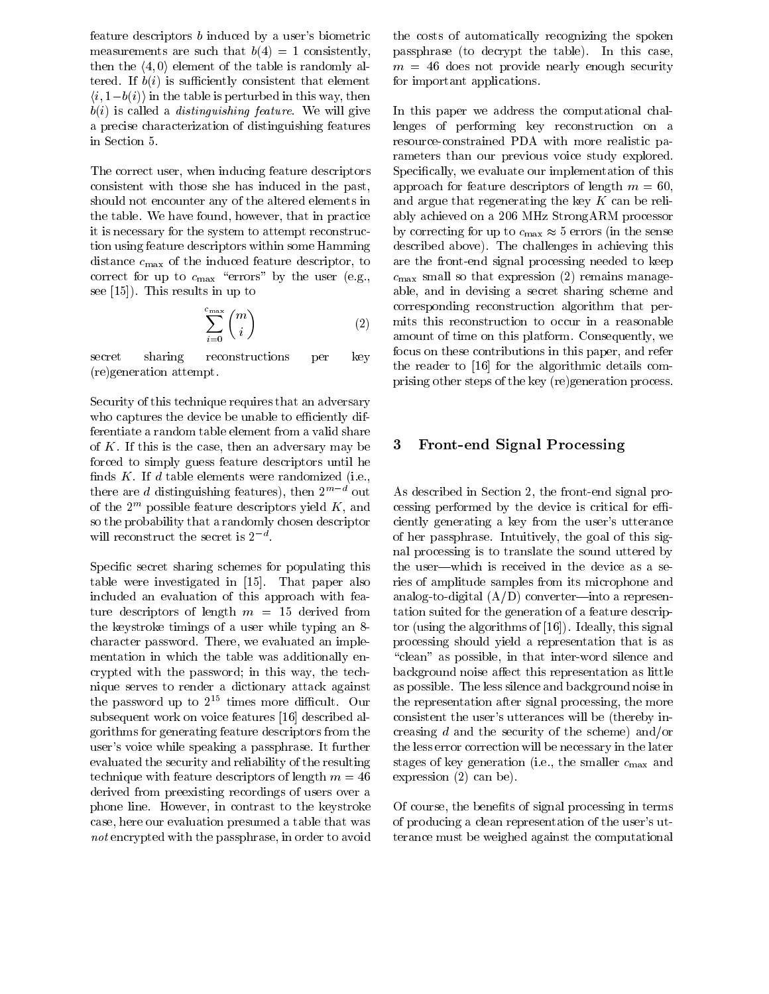feature descriptors b induced by a user's biometric measurements are such that  $b(4) = 1$  consistently, then the  $\langle 4, 0 \rangle$  element of the table is randomly altered. If  $b(i)$  is sufficiently consistent that element  $(i, 1-b(i))$  in the table is perturbed in this way, then  $b(i)$  is called a *distinguishing feature*. We will give a precise characterization of distinguishing features in Section 5.

The correct user, when inducing feature descriptors consistent with those she has induced in the past, should not encounter any of the altered elements in the table. We have found, however, that in practice it is necessary for the system to attempt reconstruction using feature descriptors within some Hamming distance  $c_{\text{max}}$  of the induced feature descriptor, to correct for up to  $c_{\text{max}}$  "errors" by the user (e.g., see  $[15]$ . This results in up to

$$
\sum_{i=0}^{c_{\max}} \binom{m}{i} \tag{2}
$$

secret sharing reconstructions key per (re)generation attempt.

Security of this technique requires that an adversary who captures the device be unable to efficiently differentiate a random table element from a valid share of  $K$ . If this is the case, then an adversary may be forced to simply guess feature descriptors until he finds  $K$ . If  $d$  table elements were randomized (i.e., there are d distinguishing features), then  $2^{m-d}$  out of the  $2^m$  possible feature descriptors yield K, and so the probability that a randomly chosen descriptor will reconstruct the secret is  $2^{-d}$ .

Specific secret sharing schemes for populating this table were investigated in [15]. That paper also included an evaluation of this approach with feature descriptors of length  $m = 15$  derived from the keystroke timings of a user while typing an 8character password. There, we evaluated an implementation in which the table was additionally encrypted with the password; in this way, the technique serves to render a dictionary attack against the password up to  $2^{15}$  times more difficult. Our subsequent work on voice features [16] described algorithms for generating feature descriptors from the user's voice while speaking a passphrase. It further evaluated the security and reliability of the resulting technique with feature descriptors of length  $m = 46$ derived from preexisting recordings of users over a phone line. However, in contrast to the keystroke case, here our evaluation presumed a table that was not encrypted with the passphrase, in order to avoid

the costs of automatically recognizing the spoken passphrase (to decrypt the table). In this case,  $m = 46$  does not provide nearly enough security for important applications.

In this paper we address the computational challenges of performing key reconstruction on a resource-constrained PDA with more realistic parameters than our previous voice study explored. Specifically, we evaluate our implementation of this approach for feature descriptors of length  $m = 60$ , and argue that regenerating the key  $K$  can be reliably achieved on a 206 MHz StrongARM processor by correcting for up to  $c_{\text{max}} \approx 5$  errors (in the sense described above). The challenges in achieving this are the front-end signal processing needed to keep  $c_{\text{max}}$  small so that expression (2) remains manageable, and in devising a secret sharing scheme and corresponding reconstruction algorithm that permits this reconstruction to occur in a reasonable amount of time on this platform. Consequently, we focus on these contributions in this paper, and refer the reader to [16] for the algorithmic details comprising other steps of the key (re) generation process.

## **Front-end Signal Processing** 3

As described in Section 2, the front-end signal processing performed by the device is critical for efficiently generating a key from the user's utterance of her passphrase. Intuitively, the goal of this signal processing is to translate the sound uttered by the user—which is received in the device as a series of amplitude samples from its microphone and analog-to-digital  $(A/D)$  converter—into a representation suited for the generation of a feature descriptor (using the algorithms of [16]). Ideally, this signal processing should yield a representation that is as "clean" as possible, in that inter-word silence and background noise affect this representation as little as possible. The less silence and background noise in the representation after signal processing, the more consistent the user's utterances will be (thereby increasing  $d$  and the security of the scheme) and/or the less error correction will be necessary in the later stages of key generation (i.e., the smaller  $c_{\text{max}}$  and expression  $(2)$  can be).

Of course, the benefits of signal processing in terms of producing a clean representation of the user's utterance must be weighed against the computational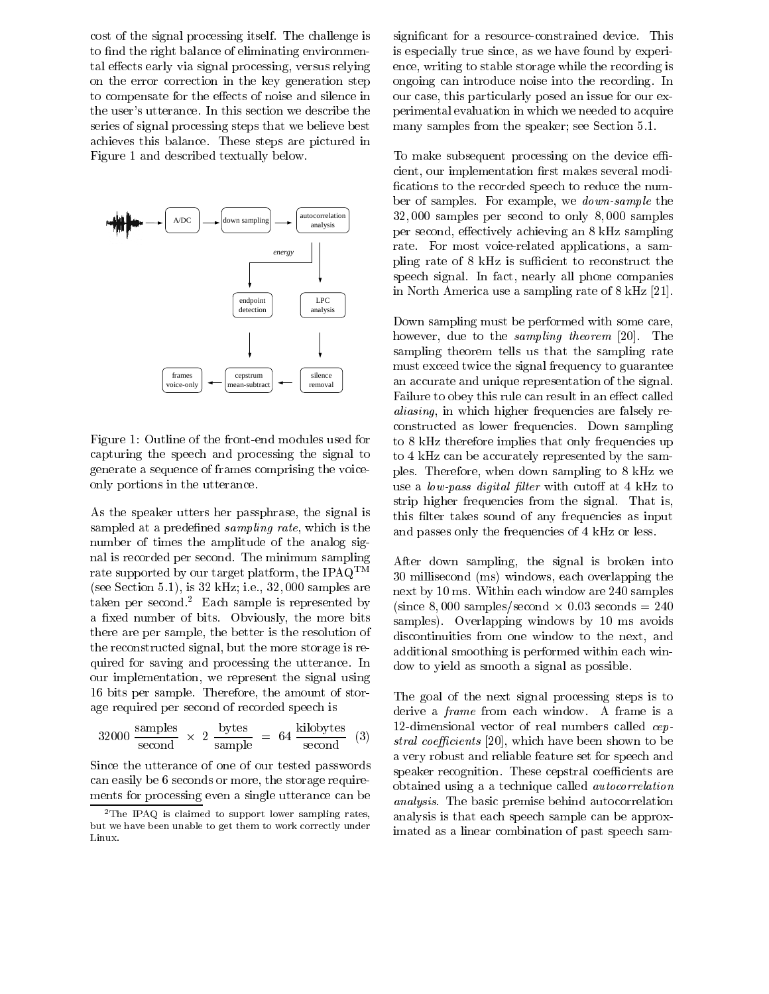cost of the signal processing itself. The challenge is to find the right balance of eliminating environmental effects early via signal processing, versus relying on the error correction in the key generation step to compensate for the effects of noise and silence in the user's utterance. In this section we describe the series of signal processing steps that we believe best achieves this balance. These steps are pictured in Figure 1 and described textually below.



Figure 1: Outline of the front-end modules used for capturing the speech and processing the signal to generate a sequence of frames comprising the voiceonly portions in the utterance.

As the speaker utters her passphrase, the signal is sampled at a predefined *sampling rate*, which is the number of times the amplitude of the analog signal is recorded per second. The minimum sampling rate supported by our target platform, the IPAQ<sup>TM</sup> (see Section 5.1), is  $32 \text{ kHz}$ ; i.e.,  $32,000 \text{ samples are}$ taken per second.<sup>2</sup> Each sample is represented by a fixed number of bits. Obviously, the more bits there are per sample, the better is the resolution of the reconstructed signal, but the more storage is required for saving and processing the utterance. In our implementation, we represent the signal using 16 bits per sample. Therefore, the amount of storage required per second of recorded speech is

$$
32000 \frac{\text{samples}}{\text{second}} \times 2 \frac{\text{bytes}}{\text{sample}} = 64 \frac{\text{kilobytes}}{\text{second}} \quad (3)
$$

Since the utterance of one of our tested passwords can easily be 6 seconds or more, the storage requirements for processing even a single utterance can be significant for a resource-constrained device. This is especially true since, as we have found by experience, writing to stable storage while the recording is ongoing can introduce noise into the recording. In our case, this particularly posed an issue for our experimental evaluation in which we needed to acquire many samples from the speaker; see Section 5.1.

To make subsequent processing on the device efficient, our implementation first makes several modifications to the recorded speech to reduce the number of samples. For example, we *down-sample* the  $32,000$  samples per second to only  $8,000$  samples per second, effectively achieving an 8 kHz sampling rate. For most voice-related applications, a sampling rate of 8 kHz is sufficient to reconstruct the speech signal. In fact, nearly all phone companies in North America use a sampling rate of 8 kHz [21].

Down sampling must be performed with some care, however, due to the *sampling theorem* [20]. The sampling theorem tells us that the sampling rate must exceed twice the signal frequency to guarantee an accurate and unique representation of the signal. Failure to obey this rule can result in an effect called *aliasing*, in which higher frequencies are falsely reconstructed as lower frequencies. Down sampling to 8 kHz therefore implies that only frequencies up to 4 kHz can be accurately represented by the samples. Therefore, when down sampling to 8 kHz we use a *low-pass digital filter* with cutoff at 4 kHz to strip higher frequencies from the signal. That is, this filter takes sound of any frequencies as input and passes only the frequencies of 4 kHz or less.

After down sampling, the signal is broken into 30 millisecond (ms) windows, each overlapping the next by 10 ms. Within each window are 240 samples (since 8,000 samples/second  $\times$  0.03 seconds = 240) samples). Overlapping windows by 10 ms avoids discontinuities from one window to the next, and additional smoothing is performed within each window to yield as smooth a signal as possible.

The goal of the next signal processing steps is to derive a *frame* from each window. A frame is a 12-dimensional vector of real numbers called cep*stral coefficients* [20], which have been shown to be a very robust and reliable feature set for speech and speaker recognition. These cepstral coefficients are obtained using a a technique called *autocorrelation analysis*. The basic premise behind autocorrelation analysis is that each speech sample can be approximated as a linear combination of past speech sam-

<sup>&</sup>lt;sup>2</sup>The IPAQ is claimed to support lower sampling rates, but we have been unable to get them to work correctly under Linux.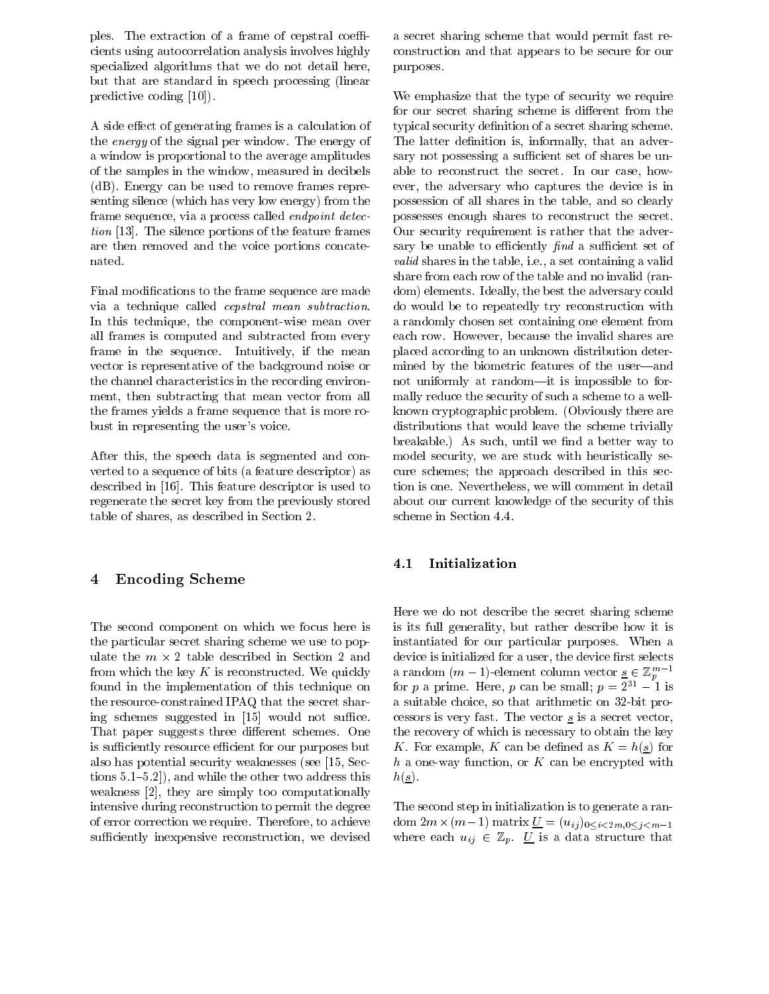ples. The extraction of a frame of cepstral coefficients using autocorrelation analysis involves highly specialized algorithms that we do not detail here, but that are standard in speech processing (linear predictive coding  $[10]$ .

A side effect of generating frames is a calculation of the energy of the signal per window. The energy of a window is proportional to the average amplitudes of the samples in the window, measured in decibels (dB). Energy can be used to remove frames representing silence (which has very low energy) from the frame sequence, via a process called *endpoint detection* [13]. The silence portions of the feature frames are then removed and the voice portions concatenated.

Final modifications to the frame sequence are made via a technique called *cepstral* mean *subtraction*. In this technique, the component-wise mean over all frames is computed and subtracted from every frame in the sequence. Intuitively, if the mean vector is representative of the background noise or the channel characteristics in the recording environment, then subtracting that mean vector from all the frames yields a frame sequence that is more robust in representing the user's voice.

After this, the speech data is segmented and converted to a sequence of bits (a feature descriptor) as described in [16]. This feature descriptor is used to regenerate the secret key from the previously stored table of shares, as described in Section 2.

## **Encoding Scheme**  $\overline{\mathbf{4}}$

The second component on which we focus here is the particular secret sharing scheme we use to populate the  $m \times 2$  table described in Section 2 and from which the key  $K$  is reconstructed. We quickly found in the implementation of this technique on the resource-constrained IPAQ that the secret sharing schemes suggested in [15] would not suffice. That paper suggests three different schemes. One is sufficiently resource efficient for our purposes but also has potential security weaknesses (see [15, Sections  $5.1-5.2$ ), and while the other two address this weakness  $[2]$ , they are simply too computationally intensive during reconstruction to permit the degree of error correction we require. Therefore, to achieve sufficiently inexpensive reconstruction, we devised

a secret sharing scheme that would permit fast reconstruction and that appears to be secure for our purposes.

We emphasize that the type of security we require for our secret sharing scheme is different from the typical security definition of a secret sharing scheme. The latter definition is, informally, that an adversary not possessing a sufficient set of shares be unable to reconstruct the secret. In our case, however, the adversary who captures the device is in possession of all shares in the table, and so clearly possesses enough shares to reconstruct the secret. Our security requirement is rather that the adversary be unable to efficiently find a sufficient set of *valid* shares in the table, i.e., a set containing a valid share from each row of the table and no invalid (random) elements. Ideally, the best the adversary could do would be to repeatedly try reconstruction with a randomly chosen set containing one element from each row. However, because the invalid shares are placed according to an unknown distribution determined by the biometric features of the user-and not uniformly at random—it is impossible to formally reduce the security of such a scheme to a wellknown cryptographic problem. (Obviously there are distributions that would leave the scheme trivially breakable.) As such, until we find a better way to model security, we are stuck with heuristically secure schemes; the approach described in this section is one. Nevertheless, we will comment in detail about our current knowledge of the security of this scheme in Section 4.4.

#### $4.1$ Initialization

Here we do not describe the secret sharing scheme is its full generality, but rather describe how it is instantiated for our particular purposes. When a device is initialized for a user, the device first selects a random  $(m-1)$ -element column vector  $\underline{s} \in \mathbb{Z}_n^{m-1}$ for p a prime. Here, p can be small;  $p = 2^{31} - 1$  is a suitable choice, so that arithmetic on 32-bit processors is very fast. The vector  $s$  is a secret vector, the recovery of which is necessary to obtain the key K. For example, K can be defined as  $K = h(s)$  for h a one-way function, or K can be encrypted with  $h(\underline{s})$ .

The second step in initialization is to generate a random  $2m \times (m-1)$  matrix  $\underline{U} = (u_{ij})_{0 \le i \le 2m, 0 \le j \le m-1}$ where each  $u_{ij} \in \mathbb{Z}_p$ . *U* is a data structure that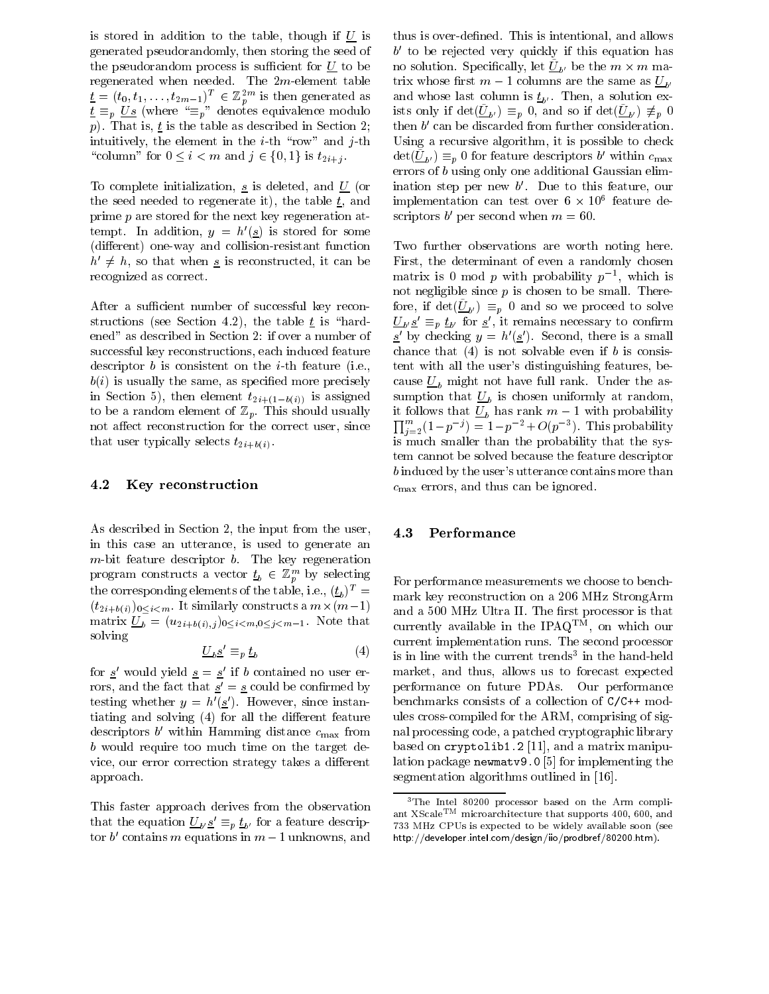is stored in addition to the table, though if  $U$  is generated pseudorandomly, then storing the seed of the pseudorandom process is sufficient for  $U$  to be regenerated when needed. The  $2m$ -element table  $\underline{t} = (t_0, t_1, \ldots, t_{2m-1})^T \in \mathbb{Z}_p^{2m}$  is then generated as<br> $\underline{t} \equiv_p \underline{Us}$  (where " $\equiv_p$ " denotes equivalence modulo p). That is,  $\underline{t}$  is the table as described in Section 2; intuitively, the element in the *i*-th "row" and *j*-th "column" for  $0 \leq i < m$  and  $j \in \{0,1\}$  is  $t_{2i+j}$ .

To complete initialization,  $\underline{s}$  is deleted, and  $\underline{U}$  (or the seed needed to regenerate it), the table  $\underline{t}$ , and prime  $p$  are stored for the next key regeneration attempt. In addition,  $y = h'(s)$  is stored for some (different) one-way and collision-resistant function  $h' \neq h$ , so that when <u>s</u> is reconstructed, it can be recognized as correct.

After a sufficient number of successful key reconstructions (see Section 4.2), the table  $t$  is "hardened" as described in Section 2: if over a number of successful key reconstructions, each induced feature descriptor  $b$  is consistent on the *i*-th feature (i.e.,  $b(i)$  is usually the same, as specified more precisely in Section 5), then element  $t_{2i+(1-b(i))}$  is assigned to be a random element of  $\mathbb{Z}_p$ . This should usually not affect reconstruction for the correct user, since that user typically selects  $t_{2i+b(i)}$ .

#### Key reconstruction 4.2

As described in Section 2, the input from the user, in this case an utterance, is used to generate an  $m$ -bit feature descriptor  $b$ . The key regeneration program constructs a vector  $\underline{t}_b \in \mathbb{Z}_p^m$  by selecting the corresponding elements of the table, i.e.,  $(\underline{t}_b)^T =$  $(t_{2i+b(i)})_{0\leq i\leq m}$ . It similarly constructs a  $m\times (m-1)$ matrix  $\underline{U}_b = (u_{2i+b(i),j})_{0 \le i < m, 0 \le j < m-1}$ . Note that solving

$$
\underline{U}_b \underline{s}' \equiv_p \underline{t}_b \tag{4}
$$

for  $\underline{s}'$  would yield  $\underline{s} = \underline{s}'$  if b contained no user errors, and the fact that  $\underline{s}' = \underline{s}$  could be confirmed by testing whether  $y = h'(\underline{s}')$ . However, since instantiating and solving (4) for all the different feature descriptors  $b'$  within Hamming distance  $c_{\text{max}}$  from b would require too much time on the target device, our error correction strategy takes a different approach.

This faster approach derives from the observation that the equation  $U_{b} \underline{s}' \equiv_p \underline{t}_{b'}$  for a feature descriptor b' contains m equations in  $m-1$  unknowns, and

thus is over-defined. This is intentional, and allows  $b'$  to be rejected very quickly if this equation has no solution. Specifically, let  $U_{h'}$  be the  $m \times m$  matrix whose first  $m-1$  columns are the same as  $U_{h'}$ and whose last column is  $\underline{t}_{b'}$ . Then, a solution exists only if  $\det(\underline{\tilde{U}}_{b'}) \equiv_p 0$ , and so if  $\det(\underline{\tilde{U}}_{b'}) \not\equiv_p 0$ then  $b'$  can be discarded from further consideration. Using a recursive algorithm, it is possible to check  $\det(\underline{U}_{b'}) \equiv_p 0$  for feature descriptors b' within  $c_{\text{max}}$ errors of  $b$  using only one additional Gaussian elimination step per new  $b'$ . Due to this feature, our implementation can test over  $6 \times 10^6$  feature descriptors b' per second when  $m = 60$ .

Two further observations are worth noting here. First, the determinant of even a randomly chosen matrix is 0 mod p with probability  $p^{-1}$ , which is not negligible since  $p$  is chosen to be small. Therefore, if  $\det(\underline{U}_{b}) \equiv_p 0$  and so we proceed to solve  $\underline{U}_{b'}\underline{s'} \equiv_p \underline{t}_{b'}$  for  $\underline{s'}$ , it remains necessary to confirm  $\underline{s}'$  by checking  $y = h'(\underline{s}')$ . Second, there is a small chance that  $(4)$  is not solvable even if b is consistent with all the user's distinguishing features, because  $U_b$  might not have full rank. Under the assumption that  $\underline{U}_b$  is chosen uniformly at random, it follows that  $\overline{U_b}$  has rank  $m-1$  with probability  $\prod_{j=2}^m (1-p^{-j}) = 1-p^{-2}+O(p^{-3})$ . This probability is much smaller than the probability that the system cannot be solved because the feature descriptor b induced by the user's utterance contains more than  $c_{\text{max}}$  errors, and thus can be ignored.

#### 4.3 Performance

For performance measurements we choose to benchmark key reconstruction on a 206 MHz StrongArm and a 500 MHz Ultra II. The first processor is that currently available in the IPAQ<sup>TM</sup>, on which our current implementation runs. The second processor is in line with the current trends<sup>3</sup> in the hand-held market, and thus, allows us to forecast expected performance on future PDAs. Our performance benchmarks consists of a collection of C/C++ modules cross-compiled for the ARM, comprising of signal processing code, a patched cryptographic library based on cryptolib1.2 [11], and a matrix manipulation package newmatv9.0 [5] for implementing the segmentation algorithms outlined in [16].

<sup>&</sup>lt;sup>3</sup>The Intel 80200 processor based on the Arm compliant XScale<sup>TM</sup> microarchitecture that supports 400, 600, and 733 MHz CPUs is expected to be widely available soon (see http://developer.intel.com/design/iio/prodbref/80200.htm).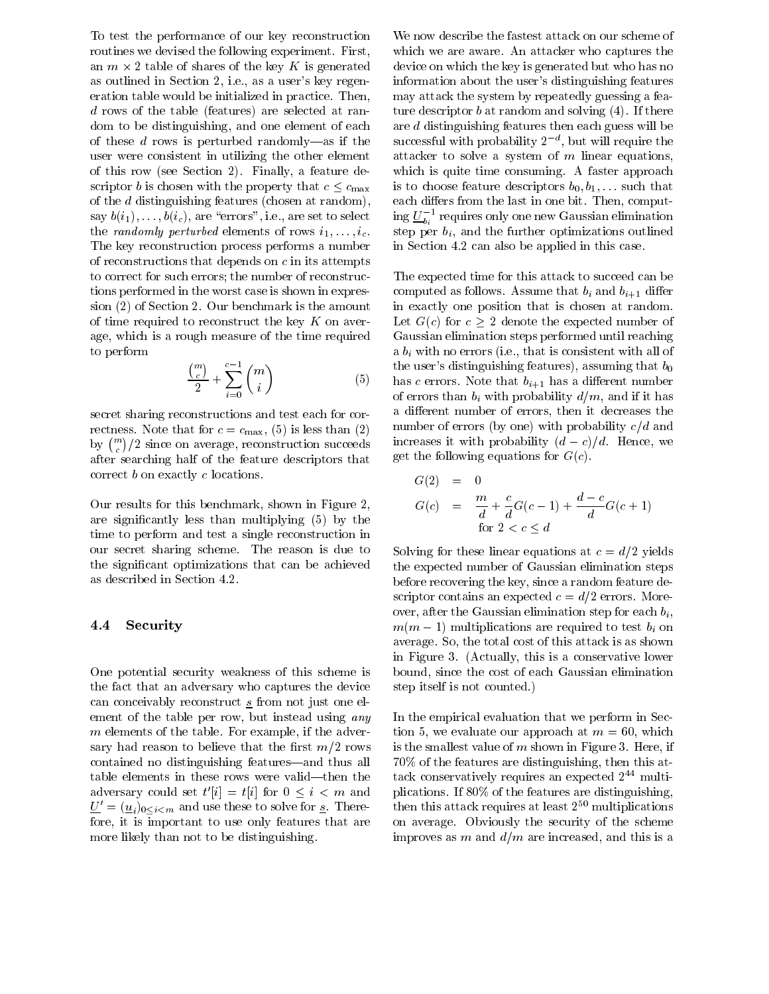To test the performance of our key reconstruction routines we devised the following experiment. First, an  $m \times 2$  table of shares of the key K is generated as outlined in Section 2, i.e., as a user's key regeneration table would be initialized in practice. Then,  $d$  rows of the table (features) are selected at random to be distinguishing, and one element of each of these  $d$  rows is perturbed randomly—as if the user were consistent in utilizing the other element of this row (see Section 2). Finally, a feature descriptor *b* is chosen with the property that  $c \leq c_{\text{max}}$ of the  $d$  distinguishing features (chosen at random), say  $b(i_1), \ldots, b(i_c)$ , are "errors", i.e., are set to select the randomly perturbed elements of rows  $i_1, \ldots, i_c$ . The key reconstruction process performs a number of reconstructions that depends on  $c$  in its attempts to correct for such errors; the number of reconstructions performed in the worst case is shown in expression (2) of Section 2. Our benchmark is the amount of time required to reconstruct the key  $K$  on average, which is a rough measure of the time required to perform

$$
\frac{\binom{m}{c}}{2} + \sum_{i=0}^{c-1} \binom{m}{i} \tag{5}
$$

secret sharing reconstructions and test each for correctness. Note that for  $c = c_{\text{max}}$ , (5) is less than (2) by  $\binom{m}{c}/2$  since on average, reconstruction succeeds after searching half of the feature descriptors that correct  $b$  on exactly  $c$  locations.

Our results for this benchmark, shown in Figure 2, are significantly less than multiplying (5) by the time to perform and test a single reconstruction in our secret sharing scheme. The reason is due to the significant optimizations that can be achieved as described in Section 4.2.

#### Security 4.4

One potential security weakness of this scheme is the fact that an adversary who captures the device can conceivably reconstruct  $s$  from not just one element of the table per row, but instead using any  $m$  elements of the table. For example, if the adversary had reason to believe that the first  $m/2$  rows contained no distinguishing features—and thus all table elements in these rows were valid—then the adversary could set  $t'[i] = t[i]$  for  $0 \leq i \leq m$  and  $\underline{U}' = (\underline{u}_i)_{0 \le i \le m}$  and use these to solve for <u>s</u>. Therefore, it is important to use only features that are more likely than not to be distinguishing.

We now describe the fastest attack on our scheme of which we are aware. An attacker who captures the device on which the key is generated but who has no information about the user's distinguishing features may attack the system by repeatedly guessing a feature descriptor  $b$  at random and solving  $(4)$ . If there are  $d$  distinguishing features then each guess will be successful with probability  $2^{-d}$ , but will require the attacker to solve a system of  $m$  linear equations, which is quite time consuming. A faster approach is to choose feature descriptors  $b_0, b_1, \ldots$  such that each differs from the last in one bit. Then, computing  $U_{b_i}^{-1}$  requires only one new Gaussian elimination step per  $b_i$ , and the further optimizations outlined in Section 4.2 can also be applied in this case.

The expected time for this attack to succeed can be computed as follows. Assume that  $b_i$  and  $b_{i+1}$  differ in exactly one position that is chosen at random. Let  $G(c)$  for  $c > 2$  denote the expected number of Gaussian elimination steps performed until reaching a  $b_i$  with no errors (i.e., that is consistent with all of the user's distinguishing features), assuming that  $b_0$ has c errors. Note that  $b_{i+1}$  has a different number of errors than  $b_i$  with probability  $d/m$ , and if it has a different number of errors, then it decreases the number of errors (by one) with probability  $c/d$  and increases it with probability  $(d-c)/d$ . Hence, we get the following equations for  $G(c)$ .

$$
G(2) = 0
$$
  
\n
$$
G(c) = \frac{m}{d} + \frac{c}{d}G(c-1) + \frac{d-c}{d}G(c+1)
$$
  
\nfor  $2 < c \le d$ 

Solving for these linear equations at  $c = d/2$  yields the expected number of Gaussian elimination steps before recovering the key, since a random feature descriptor contains an expected  $c = d/2$  errors. Moreover, after the Gaussian elimination step for each  $b_i$ ,  $m(m-1)$  multiplications are required to test  $b_i$  on average. So, the total cost of this attack is as shown in Figure 3. (Actually, this is a conservative lower bound, since the cost of each Gaussian elimination step itself is not counted.)

In the empirical evaluation that we perform in Section 5, we evaluate our approach at  $m = 60$ , which is the smallest value of  $m$  shown in Figure 3. Here, if 70% of the features are distinguishing, then this attack conservatively requires an expected  $2^{44}$  multiplications. If 80% of the features are distinguishing, then this attack requires at least  $2^{50}$  multiplications on average. Obviously the security of the scheme improves as m and  $d/m$  are increased, and this is a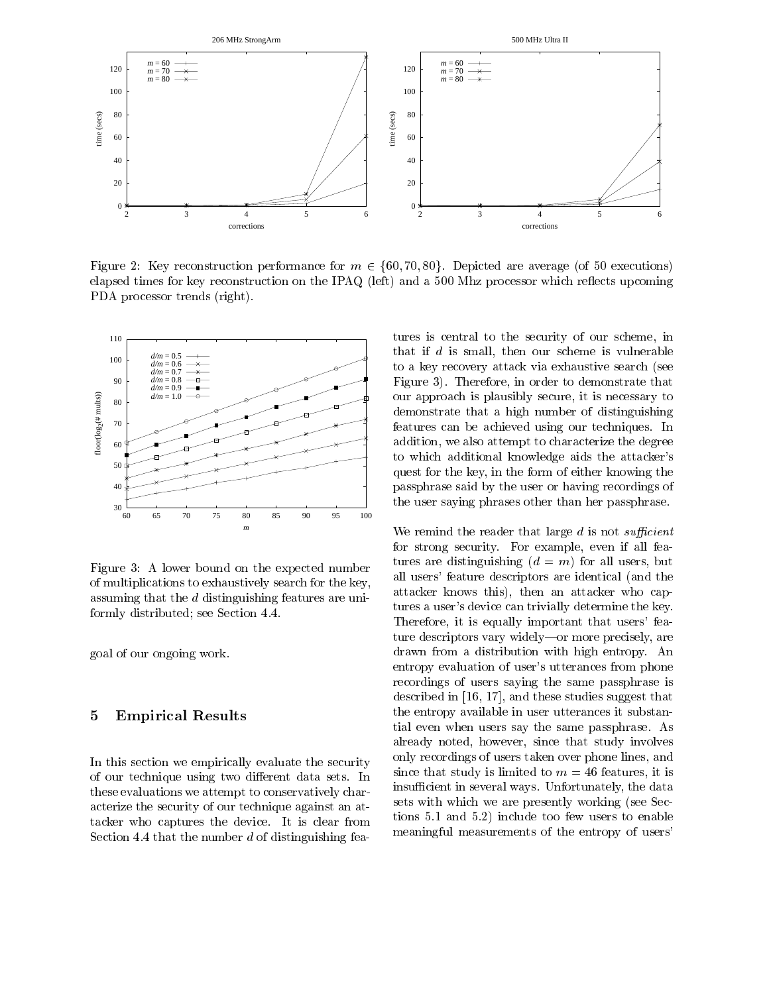

Figure 2: Key reconstruction performance for  $m \in \{60, 70, 80\}$ . Depicted are average (of 50 executions) elapsed times for key reconstruction on the IPAQ (left) and a 500 Mhz processor which reflects upcoming PDA processor trends (right).



Figure 3: A lower bound on the expected number of multiplications to exhaustively search for the key, assuming that the  $d$  distinguishing features are uniformly distributed; see Section 4.4.

goal of our ongoing work.

### $\overline{5}$ **Empirical Results**

In this section we empirically evaluate the security of our technique using two different data sets. In these evaluations we attempt to conservatively characterize the security of our technique against an attacker who captures the device. It is clear from Section 4.4 that the number  $d$  of distinguishing features is central to the security of our scheme, in that if  $d$  is small, then our scheme is vulnerable to a key recovery attack via exhaustive search (see Figure 3). Therefore, in order to demonstrate that our approach is plausibly secure, it is necessary to demonstrate that a high number of distinguishing features can be achieved using our techniques. In addition, we also attempt to characterize the degree to which additional knowledge aids the attacker's quest for the key, in the form of either knowing the passphrase said by the user or having recordings of the user saying phrases other than her passphrase.

We remind the reader that large  $d$  is not sufficient for strong security. For example, even if all features are distinguishing  $(d = m)$  for all users, but all users' feature descriptors are identical (and the attacker knows this), then an attacker who captures a user's device can trivially determine the key. Therefore, it is equally important that users' feature descriptors vary widely-or more precisely, are drawn from a distribution with high entropy. An entropy evaluation of user's utterances from phone recordings of users saying the same passphrase is described in  $[16, 17]$ , and these studies suggest that the entropy available in user utterances it substantial even when users say the same passphrase. As already noted, however, since that study involves only recordings of users taken over phone lines, and since that study is limited to  $m = 46$  features, it is insufficient in several ways. Unfortunately, the data sets with which we are presently working (see Sections 5.1 and 5.2) include too few users to enable meaningful measurements of the entropy of users'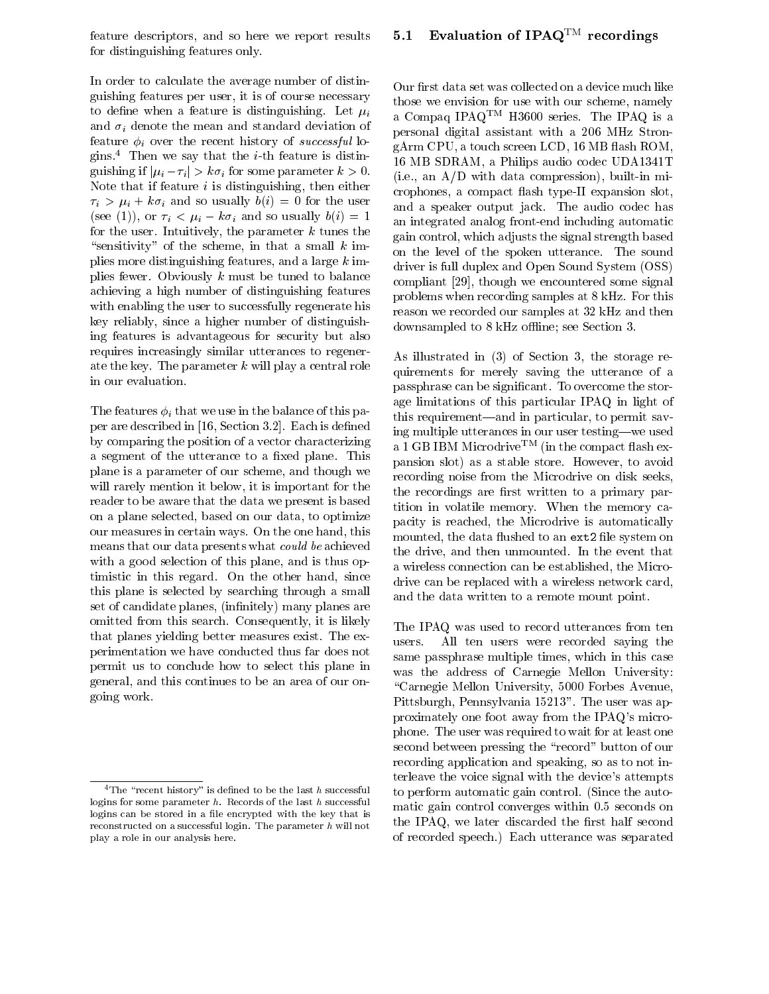feature descriptors, and so here we report results for distinguishing features only.

In order to calculate the average number of distinguishing features per user, it is of course necessary to define when a feature is distinguishing. Let  $\mu_i$ and  $\sigma_i$  denote the mean and standard deviation of feature  $\phi_i$  over the recent history of successful logins.<sup>4</sup> Then we say that the *i*-th feature is distinguishing if  $|\mu_i - \tau_i| > k\sigma_i$  for some parameter  $k > 0$ . Note that if feature  $i$  is distinguishing, then either  $\tau_i > \mu_i + k \sigma_i$  and so usually  $b(i) = 0$  for the user (see (1)), or  $\tau_i < \mu_i - k\sigma_i$  and so usually  $b(i) = 1$ for the user. Intuitively, the parameter  $k$  tunes the "sensitivity" of the scheme, in that a small  $k$  implies more distinguishing features, and a large  $k$  implies fewer. Obviously  $k$  must be tuned to balance achieving a high number of distinguishing features with enabling the user to successfully regenerate his key reliably, since a higher number of distinguishing features is advantageous for security but also requires increasingly similar utterances to regenerate the key. The parameter  $k$  will play a central role in our evaluation.

The features  $\phi_i$  that we use in the balance of this paper are described in [16, Section 3.2]. Each is defined by comparing the position of a vector characterizing a segment of the utterance to a fixed plane. This plane is a parameter of our scheme, and though we will rarely mention it below, it is important for the reader to be aware that the data we present is based on a plane selected, based on our data, to optimize our measures in certain ways. On the one hand, this means that our data presents what *could be* achieved with a good selection of this plane, and is thus optimistic in this regard. On the other hand, since this plane is selected by searching through a small set of candidate planes, (infinitely) many planes are omitted from this search. Consequently, it is likely that planes yielding better measures exist. The experimentation we have conducted thus far does not permit us to conclude how to select this plane in general, and this continues to be an area of our ongoing work.

# Evaluation of IPAQ<sup>TM</sup> recordings  $5.1$

Our first data set was collected on a device much like those we envision for use with our scheme, namely a Compaq IPAQ<sup>TM</sup> H3600 series. The IPAQ is a personal digital assistant with a 206 MHz StrongArm CPU, a touch screen LCD, 16 MB flash ROM, 16 MB SDRAM, a Philips audio codec UDA1341T (i.e., an  $A/D$  with data compression), built-in microphones, a compact flash type-II expansion slot, and a speaker output jack. The audio codec has an integrated analog front-end including automatic gain control, which adjusts the signal strength based on the level of the spoken utterance. The sound driver is full duplex and Open Sound System (OSS) compliant [29], though we encountered some signal problems when recording samples at 8 kHz. For this reason we recorded our samples at 32 kHz and then downsampled to 8 kHz offline; see Section 3.

As illustrated in (3) of Section 3, the storage requirements for merely saving the utterance of a passphrase can be significant. To overcome the storage limitations of this particular IPAQ in light of this requirement—and in particular, to permit saving multiple utterances in our user testing—we used a 1 GB IBM Microdrive<sup>TM</sup> (in the compact flash expansion slot) as a stable store. However, to avoid recording noise from the Microdrive on disk seeks, the recordings are first written to a primary partition in volatile memory. When the memory capacity is reached, the Microdrive is automatically mounted, the data flushed to an ext2 file system on the drive, and then unmounted. In the event that a wireless connection can be established, the Microdrive can be replaced with a wireless network card, and the data written to a remote mount point.

The IPAQ was used to record utterances from ten users. All ten users were recorded saying the same passphrase multiple times, which in this case was the address of Carnegie Mellon University: "Carnegie Mellon University, 5000 Forbes Avenue, Pittsburgh, Pennsylvania 15213". The user was approximately one foot away from the IPAQ's microphone. The user was required to wait for at least one second between pressing the "record" button of our recording application and speaking, so as to not interleave the voice signal with the device's attempts to perform automatic gain control. (Since the automatic gain control converges within 0.5 seconds on the IPAQ, we later discarded the first half second of recorded speech.) Each utterance was separated

<sup>&</sup>lt;sup>4</sup>The "recent history" is defined to be the last  $h$  successful logins for some parameter  $h$ . Records of the last  $h$  successful logins can be stored in a file encrypted with the key that is reconstructed on a successful login. The parameter  $h$  will not play a role in our analysis here.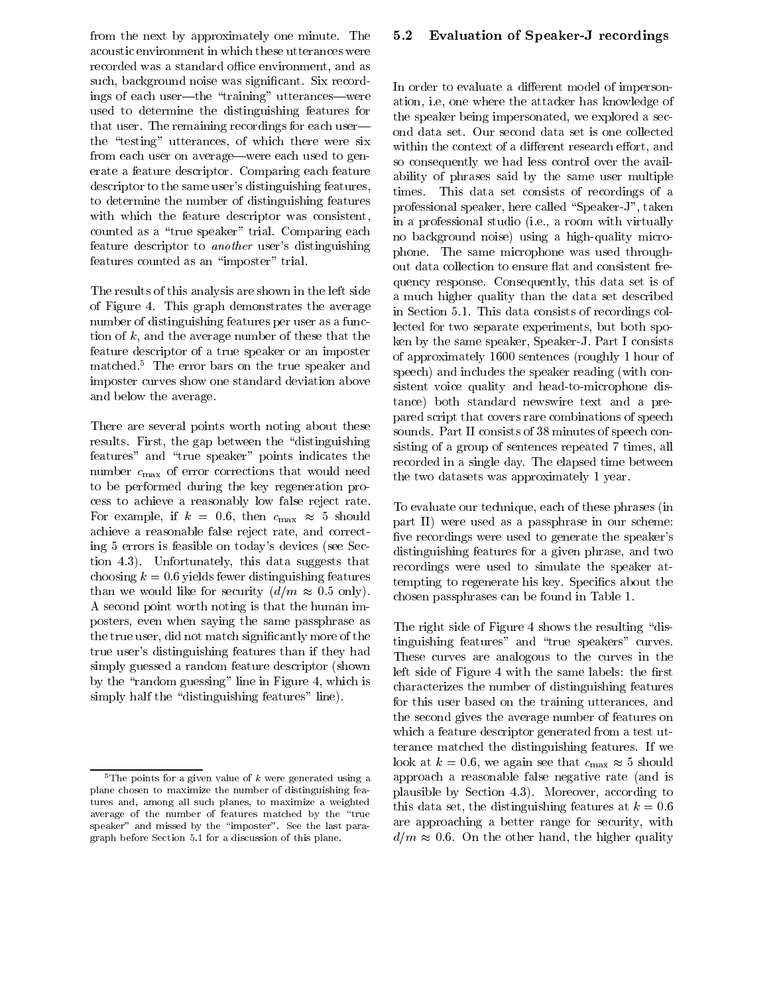from the next by approximately one minute. The acoustic environment in which these utterances were recorded was a standard office environment, and as such, background noise was significant. Six recordings of each user—the "training" utterances—were used to determine the distinguishing features for that user. The remaining recordings for each userthe "testing" utterances, of which there were six from each user on average—were each used to generate a feature descriptor. Comparing each feature descriptor to the same user's distinguishing features, to determine the number of distinguishing features with which the feature descriptor was consistent, counted as a "true speaker" trial. Comparing each feature descriptor to *another* user's distinguishing features counted as an "imposter" trial.

The results of this analysis are shown in the left side of Figure 4. This graph demonstrates the average number of distinguishing features per user as a function of  $k$ , and the average number of these that the feature descriptor of a true speaker or an imposter matched.<sup>5</sup> The error bars on the true speaker and imposter curves show one standard deviation above and below the average.

There are several points worth noting about these results. First, the gap between the "distinguishing features" and "true speaker" points indicates the number  $c_{\text{max}}$  of error corrections that would need to be performed during the key regeneration process to achieve a reasonably low false reject rate. For example, if  $k = 0.6$ , then  $c_{\text{max}} \approx 5$  should achieve a reasonable false reject rate, and correcting 5 errors is feasible on today's devices (see Section 4.3). Unfortunately, this data suggests that choosing  $k = 0.6$  yields fewer distinguishing features than we would like for security  $(d/m \approx 0.5)$  only). A second point worth noting is that the human imposters, even when saying the same passphrase as the true user, did not match significantly more of the true user's distinguishing features than if they had simply guessed a random feature descriptor (shown by the "random guessing" line in Figure 4, which is simply half the "distinguishing features" line).

#### $\bf 5.2$ **Evaluation of Speaker-J recordings**

In order to evaluate a different model of impersonation, i.e. one where the attacker has knowledge of the speaker being impersonated, we explored a second data set. Our second data set is one collected within the context of a different research effort, and so consequently we had less control over the availability of phrases said by the same user multiple times. This data set consists of recordings of a professional speaker, here called "Speaker-J", taken in a professional studio (i.e., a room with virtually no background noise) using a high-quality microphone. The same microphone was used throughout data collection to ensure flat and consistent frequency response. Consequently, this data set is of a much higher quality than the data set described in Section 5.1. This data consists of recordings collected for two separate experiments, but both spoken by the same speaker, Speaker-J. Part I consists of approximately 1600 sentences (roughly 1 hour of speech) and includes the speaker reading (with consistent voice quality and head-to-microphone distance) both standard newswire text and a prepared script that covers rare combinations of speech sounds. Part II consists of 38 minutes of speech consisting of a group of sentences repeated 7 times, all recorded in a single day. The elapsed time between the two datasets was approximately 1 year.

To evaluate our technique, each of these phrases (in part II) were used as a passphrase in our scheme: five recordings were used to generate the speaker's distinguishing features for a given phrase, and two recordings were used to simulate the speaker attempting to regenerate his key. Specifics about the chosen passphrases can be found in Table 1.

The right side of Figure 4 shows the resulting "distinguishing features" and "true speakers" curves. These curves are analogous to the curves in the left side of Figure 4 with the same labels: the first characterizes the number of distinguishing features for this user based on the training utterances, and the second gives the average number of features on which a feature descriptor generated from a test utterance matched the distinguishing features. If we look at  $k = 0.6$ , we again see that  $c_{\text{max}} \approx 5$  should approach a reasonable false negative rate (and is plausible by Section 4.3). Moreover, according to this data set, the distinguishing features at  $k = 0.6$ are approaching a better range for security, with  $d/m \approx 0.6$ . On the other hand, the higher quality

 $5$ The points for a given value of k were generated using a plane chosen to maximize the number of distinguishing features and, among all such planes, to maximize a weighted average of the number of features matched by the "true speaker" and missed by the "imposter". See the last paragraph before Section 5.1 for a discussion of this plane.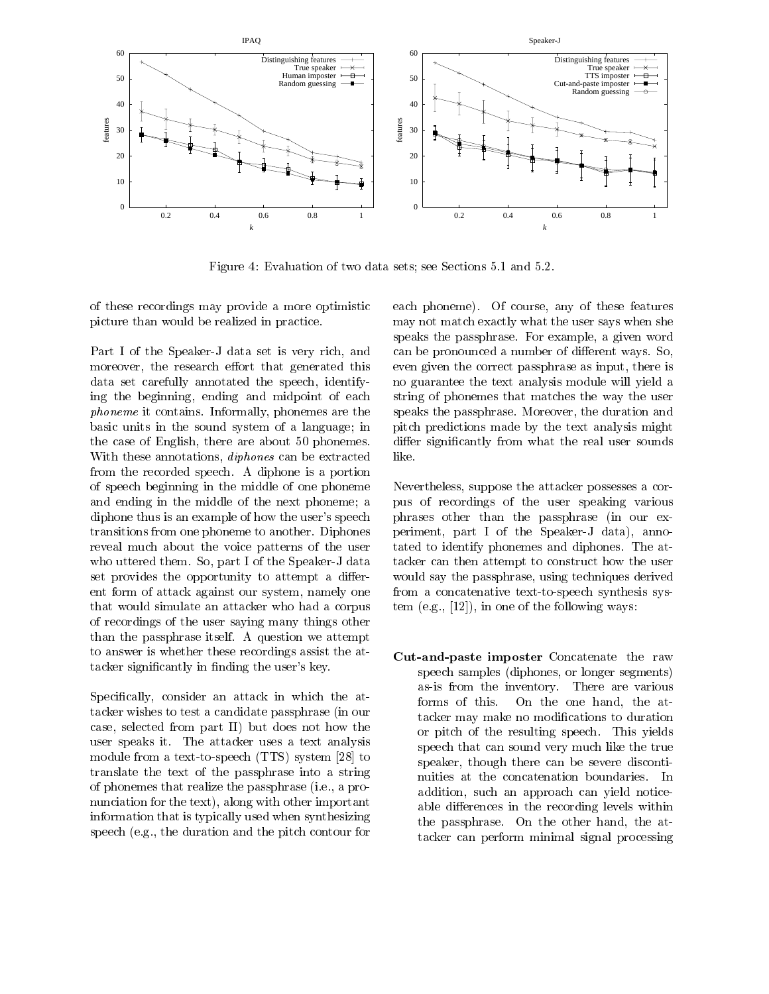

Figure 4: Evaluation of two data sets; see Sections 5.1 and 5.2.

of these recordings may provide a more optimistic picture than would be realized in practice.

Part I of the Speaker-J data set is very rich, and moreover, the research effort that generated this data set carefully annotated the speech, identifying the beginning, ending and midpoint of each *phoneme* it contains. Informally, phonemes are the basic units in the sound system of a language; in the case of English, there are about 50 phonemes. With these annotations, *diphones* can be extracted from the recorded speech. A diphone is a portion of speech beginning in the middle of one phoneme and ending in the middle of the next phoneme; a diphone thus is an example of how the user's speech transitions from one phoneme to another. Diphones reveal much about the voice patterns of the user who uttered them. So, part I of the Speaker-J data set provides the opportunity to attempt a different form of attack against our system, namely one that would simulate an attacker who had a corpus of recordings of the user saying many things other than the passphrase itself. A question we attempt to answer is whether these recordings assist the attacker significantly in finding the user's key.

Specifically, consider an attack in which the attacker wishes to test a candidate passphrase (in our case, selected from part II) but does not how the user speaks it. The attacker uses a text analysis module from a text-to-speech (TTS) system [28] to translate the text of the passphrase into a string of phonemes that realize the passphrase (i.e., a pronunciation for the text), along with other important information that is typically used when synthesizing speech (e.g., the duration and the pitch contour for

each phoneme). Of course, any of these features may not match exactly what the user says when she speaks the passphrase. For example, a given word can be pronounced a number of different ways. So, even given the correct passphrase as input, there is no guarantee the text analysis module will yield a string of phonemes that matches the way the user speaks the passphrase. Moreover, the duration and pitch predictions made by the text analysis might differ significantly from what the real user sounds like.

Nevertheless, suppose the attacker possesses a corpus of recordings of the user speaking various phrases other than the passphrase (in our experiment, part I of the Speaker-J data), annotated to identify phonemes and diphones. The attacker can then attempt to construct how the user would say the passphrase, using techniques derived from a concatenative text-to-speech synthesis system  $(e.g., [12]),$  in one of the following ways:

Cut-and-paste imposter Concatenate the raw speech samples (diphones, or longer segments) as-is from the inventory. There are various forms of this. On the one hand, the attacker may make no modifications to duration or pitch of the resulting speech. This yields speech that can sound very much like the true speaker, though there can be severe discontinuities at the concatenation boundaries. In addition, such an approach can yield noticeable differences in the recording levels within the passphrase. On the other hand, the attacker can perform minimal signal processing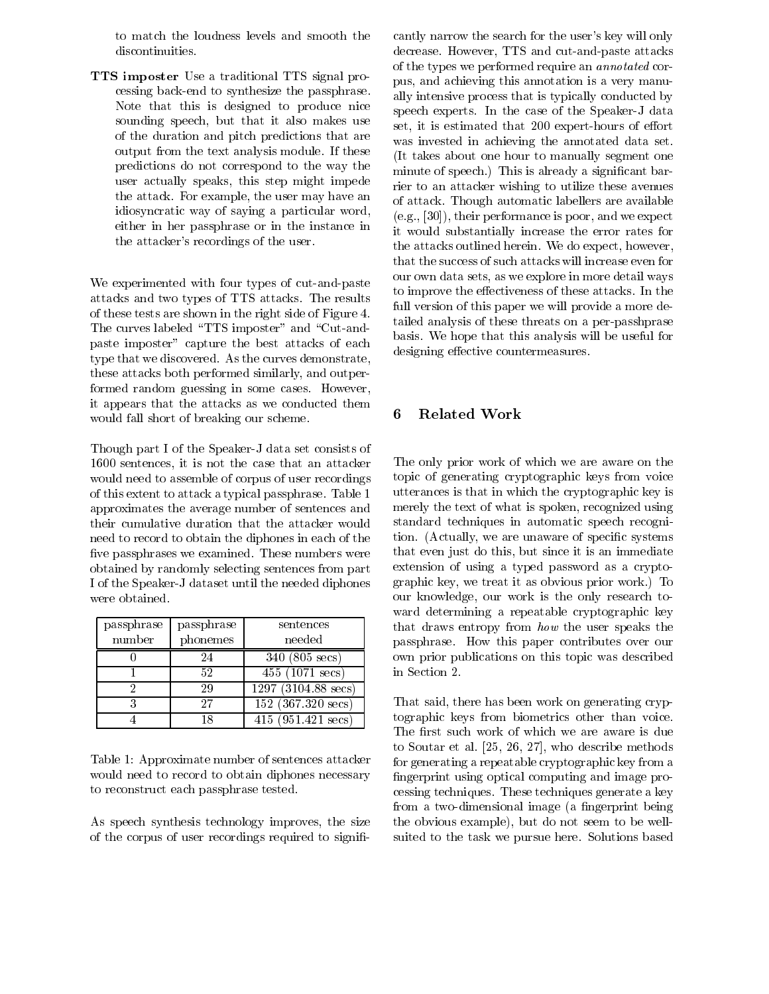to match the loudness levels and smooth the discontinuities.

TTS imposter Use a traditional TTS signal processing back-end to synthesize the passphrase. Note that this is designed to produce nice sounding speech, but that it also makes use of the duration and pitch predictions that are output from the text analysis module. If these predictions do not correspond to the way the user actually speaks, this step might impede the attack. For example, the user may have an idiosyncratic way of saying a particular word, either in her passphrase or in the instance in the attacker's recordings of the user.

We experimented with four types of cut-and-paste attacks and two types of TTS attacks. The results of these tests are shown in the right side of Figure 4. The curves labeled "TTS imposter" and "Cut-andpaste imposter" capture the best attacks of each type that we discovered. As the curves demonstrate, these attacks both performed similarly, and outperformed random guessing in some cases. However, it appears that the attacks as we conducted them would fall short of breaking our scheme.

Though part I of the Speaker-J data set consists of 1600 sentences, it is not the case that an attacker would need to assemble of corpus of user recordings of this extent to attack a typical passphrase. Table 1 approximates the average number of sentences and their cumulative duration that the attacker would need to record to obtain the diphones in each of the five passphrases we examined. These numbers were obtained by randomly selecting sentences from part I of the Speaker-J dataset until the needed diphones were obtained.

| passphrase | passphrase | sentences                     |
|------------|------------|-------------------------------|
| number     | phonemes   | needed                        |
|            | 24         | $340 (805 \text{ secs})$      |
|            | 52         | $45\overline{5}$ (1071 secs)  |
|            | 29         | $1297 (3104.88 \text{ secs})$ |
|            | 27         | $152$ (367.320 secs)          |
|            | 18         | $415$ (951.421 secs)          |

Table 1: Approximate number of sentences attacker would need to record to obtain diphones necessary to reconstruct each passphrase tested.

As speech synthesis technology improves, the size of the corpus of user recordings required to significantly narrow the search for the user's key will only decrease. However, TTS and cut-and-paste attacks of the types we performed require an *annotated* corpus, and achieving this annotation is a very manually intensive process that is typically conducted by speech experts. In the case of the Speaker-J data set, it is estimated that 200 expert-hours of effort was invested in achieving the annotated data set. (It takes about one hour to manually segment one minute of speech.) This is already a significant barrier to an attacker wishing to utilize these avenues of attack. Though automatic labellers are available  $(e.g., [30]),$  their performance is poor, and we expect it would substantially increase the error rates for the attacks outlined herein. We do expect, however, that the success of such attacks will increase even for our own data sets, as we explore in more detail ways to improve the effectiveness of these attacks. In the full version of this paper we will provide a more detailed analysis of these threats on a per-passhprase basis. We hope that this analysis will be useful for designing effective countermeasures.

# **Related Work** 6

The only prior work of which we are aware on the topic of generating cryptographic keys from voice utterances is that in which the cryptographic key is merely the text of what is spoken, recognized using standard techniques in automatic speech recognition. (Actually, we are unaware of specific systems that even just do this, but since it is an immediate extension of using a typed password as a cryptographic key, we treat it as obvious prior work.) To our knowledge, our work is the only research toward determining a repeatable cryptographic key that draws entropy from how the user speaks the passphrase. How this paper contributes over our own prior publications on this topic was described in Section 2.

That said, there has been work on generating cryptographic keys from biometrics other than voice. The first such work of which we are aware is due to Soutar et al. [25, 26, 27], who describe methods for generating a repeatable cryptographic key from a fingerprint using optical computing and image processing techniques. These techniques generate a key from a two-dimensional image (a fingerprint being the obvious example), but do not seem to be wellsuited to the task we pursue here. Solutions based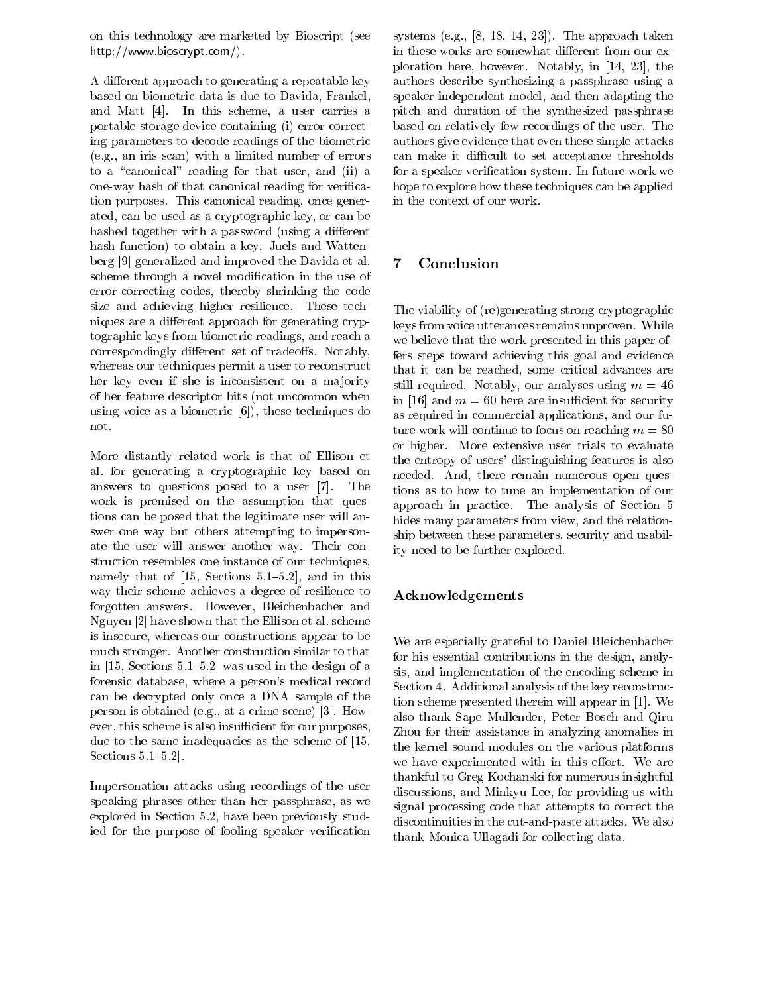on this technology are marketed by Bioscript (see http://www.bioscrypt.com/).

A different approach to generating a repeatable key based on biometric data is due to Davida, Frankel, and Matt [4]. In this scheme, a user carries a portable storage device containing (i) error correcting parameters to decode readings of the biometric (e.g., an iris scan) with a limited number of errors to a "canonical" reading for that user, and (ii) a one-way hash of that canonical reading for verification purposes. This canonical reading, once generated, can be used as a cryptographic key, or can be hashed together with a password (using a different hash function) to obtain a key. Juels and Wattenberg [9] generalized and improved the Davida et al. scheme through a novel modification in the use of error-correcting codes, thereby shrinking the code size and achieving higher resilience. These techniques are a different approach for generating cryptographic keys from biometric readings, and reach a correspondingly different set of tradeoffs. Notably, whereas our techniques permit a user to reconstruct her key even if she is inconsistent on a majority of her feature descriptor bits (not uncommon when using voice as a biometric  $[6]$ , these techniques do not.

More distantly related work is that of Ellison et al. for generating a cryptographic key based on answers to questions posed to a user [7]. The work is premised on the assumption that questions can be posed that the legitimate user will answer one way but others attempting to impersonate the user will answer another way. Their construction resembles one instance of our techniques, namely that of  $[15, \text{ Sections } 5.1-5.2]$ , and in this way their scheme achieves a degree of resilience to forgotten answers. However, Bleichenbacher and Nguyen [2] have shown that the Ellison et al. scheme is insecure, whereas our constructions appear to be much stronger. Another construction similar to that in  $[15, \text{Sections } 5.1 - 5.2]$  was used in the design of a forensic database, where a person's medical record can be decrypted only once a DNA sample of the person is obtained (e.g., at a crime scene) [3]. However, this scheme is also insufficient for our purposes, due to the same inadequacies as the scheme of [15, Sections  $5.1-5.2$ .

Impersonation attacks using recordings of the user speaking phrases other than her passphrase, as we explored in Section 5.2, have been previously studied for the purpose of fooling speaker verification

systems (e.g.,  $[8, 18, 14, 23]$ ). The approach taken in these works are somewhat different from our exploration here, however. Notably, in [14, 23], the authors describe synthesizing a passphrase using a speaker-independent model, and then adapting the pitch and duration of the synthesized passphrase based on relatively few recordings of the user. The authors give evidence that even these simple attacks can make it difficult to set acceptance thresholds for a speaker verification system. In future work we hope to explore how these techniques can be applied in the context of our work.

# $\overline{7}$ Conclusion

The viability of (re)generating strong cryptographic keys from voice utterances remains unproven. While we believe that the work presented in this paper offers steps toward achieving this goal and evidence that it can be reached, some critical advances are still required. Notably, our analyses using  $m = 46$ in [16] and  $m = 60$  here are insufficient for security as required in commercial applications, and our future work will continue to focus on reaching  $m = 80$ or higher. More extensive user trials to evaluate the entropy of users' distinguishing features is also needed. And, there remain numerous open questions as to how to tune an implementation of our approach in practice. The analysis of Section 5 hides many parameters from view, and the relationship between these parameters, security and usability need to be further explored.

# ${\bf Acknowledgements}$

We are especially grateful to Daniel Bleichenbacher for his essential contributions in the design, analysis, and implementation of the encoding scheme in Section 4. Additional analysis of the key reconstruction scheme presented therein will appear in [1]. We also thank Sape Mullender, Peter Bosch and Qiru Zhou for their assistance in analyzing anomalies in the kernel sound modules on the various platforms we have experimented with in this effort. We are thankful to Greg Kochanski for numerous insightful discussions, and Minkyu Lee, for providing us with signal processing code that attempts to correct the discontinuities in the cut-and-paste attacks. We also thank Monica Ullagadi for collecting data.